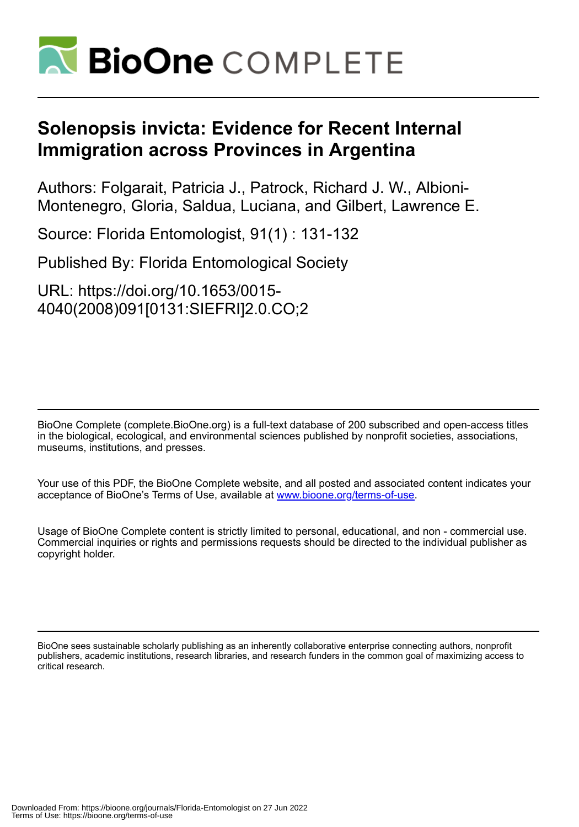

## **Solenopsis invicta: Evidence for Recent Internal Immigration across Provinces in Argentina**

Authors: Folgarait, Patricia J., Patrock, Richard J. W., Albioni-Montenegro, Gloria, Saldua, Luciana, and Gilbert, Lawrence E.

Source: Florida Entomologist, 91(1) : 131-132

Published By: Florida Entomological Society

URL: https://doi.org/10.1653/0015- 4040(2008)091[0131:SIEFRI]2.0.CO;2

BioOne Complete (complete.BioOne.org) is a full-text database of 200 subscribed and open-access titles in the biological, ecological, and environmental sciences published by nonprofit societies, associations, museums, institutions, and presses.

Your use of this PDF, the BioOne Complete website, and all posted and associated content indicates your acceptance of BioOne's Terms of Use, available at www.bioone.org/terms-of-use.

Usage of BioOne Complete content is strictly limited to personal, educational, and non - commercial use. Commercial inquiries or rights and permissions requests should be directed to the individual publisher as copyright holder.

BioOne sees sustainable scholarly publishing as an inherently collaborative enterprise connecting authors, nonprofit publishers, academic institutions, research libraries, and research funders in the common goal of maximizing access to critical research.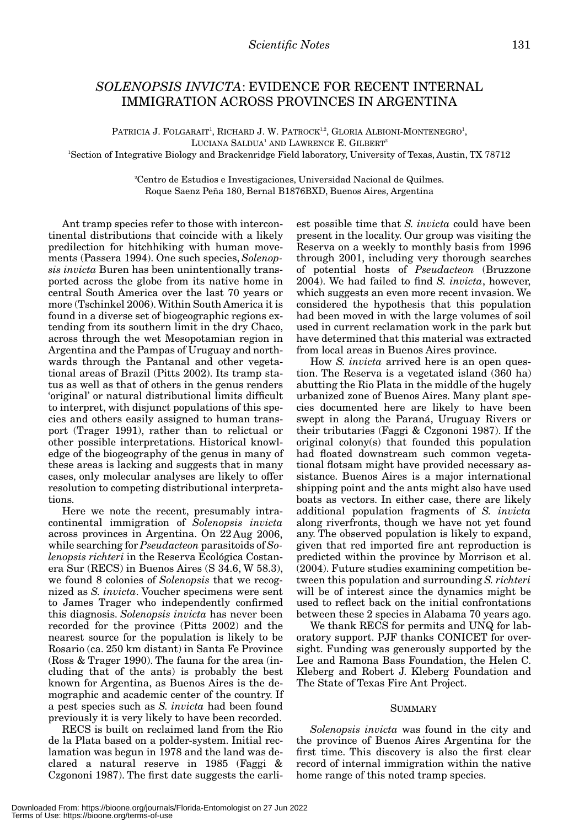## *SOLENOPSIS INVICTA*: EVIDENCE FOR RECENT INTERNAL IMMIGRATION ACROSS PROVINCES IN ARGENTINA

PATRICIA J. FOLGARAIT<sup>1</sup>, RICHARD J. W. PATROCK<sup>1.2</sup>, GLORIA ALBIONI-MONTENEGRO<sup>1</sup>, LUCIANA SALDUA<sup>1</sup> AND LAWRENCE E. GILBERT<sup>2</sup> 1 Section of Integrative Biology and Brackenridge Field laboratory, University of Texas, Austin, TX 78712

> 2 Centro de Estudios e Investigaciones, Universidad Nacional de Quilmes. Roque Saenz Peña 180, Bernal B1876BXD, Buenos Aires, Argentina

Ant tramp species refer to those with intercontinental distributions that coincide with a likely predilection for hitchhiking with human movements (Passera 1994). One such species, *Solenopsis invicta* Buren has been unintentionally transported across the globe from its native home in central South America over the last 70 years or more (Tschinkel 2006). Within South America it is found in a diverse set of biogeographic regions extending from its southern limit in the dry Chaco, across through the wet Mesopotamian region in Argentina and the Pampas of Uruguay and northwards through the Pantanal and other vegetational areas of Brazil (Pitts 2002). Its tramp status as well as that of others in the genus renders 'original' or natural distributional limits difficult to interpret, with disjunct populations of this species and others easily assigned to human transport (Trager 1991), rather than to relictual or other possible interpretations. Historical knowledge of the biogeography of the genus in many of these areas is lacking and suggests that in many cases, only molecular analyses are likely to offer resolution to competing distributional interpretations.

Here we note the recent, presumably intracontinental immigration of *Solenopsis invicta* across provinces in Argentina. On 22 Aug 2006, while searching for *Pseudacteon* parasitoids of *Solenopsis richteri* in the Reserva Ecológica Costanera Sur (RECS) in Buenos Aires (S 34.6, W 58.3), we found 8 colonies of *Solenopsis* that we recognized as *S. invicta*. Voucher specimens were sent to James Trager who independently confirmed this diagnosis. *Solenopsis invicta* has never been recorded for the province (Pitts 2002) and the nearest source for the population is likely to be Rosario (ca. 250 km distant) in Santa Fe Province (Ross & Trager 1990). The fauna for the area (including that of the ants) is probably the best known for Argentina, as Buenos Aires is the demographic and academic center of the country. If a pest species such as *S. invicta* had been found previously it is very likely to have been recorded.

RECS is built on reclaimed land from the Rio de la Plata based on a polder-system. Initial reclamation was begun in 1978 and the land was declared a natural reserve in 1985 (Faggi & Czgononi 1987). The first date suggests the earliest possible time that *S. invicta* could have been present in the locality. Our group was visiting the Reserva on a weekly to monthly basis from 1996 through 2001, including very thorough searches of potential hosts of *Pseudacteon* (Bruzzone 2004). We had failed to find *S. invicta*, however, which suggests an even more recent invasion. We considered the hypothesis that this population had been moved in with the large volumes of soil used in current reclamation work in the park but have determined that this material was extracted from local areas in Buenos Aires province.

How *S. invicta* arrived here is an open question. The Reserva is a vegetated island (360 ha) abutting the Rio Plata in the middle of the hugely urbanized zone of Buenos Aires. Many plant species documented here are likely to have been swept in along the Paraná, Uruguay Rivers or their tributaries (Faggi & Czgononi 1987). If the original colony(s) that founded this population had floated downstream such common vegetational flotsam might have provided necessary assistance. Buenos Aires is a major international shipping point and the ants might also have used boats as vectors. In either case, there are likely additional population fragments of *S. invicta* along riverfronts, though we have not yet found any. The observed population is likely to expand, given that red imported fire ant reproduction is predicted within the province by Morrison et al. (2004). Future studies examining competition between this population and surrounding *S. richteri* will be of interest since the dynamics might be used to reflect back on the initial confrontations between these 2 species in Alabama 70 years ago.

We thank RECS for permits and UNQ for laboratory support. PJF thanks CONICET for oversight. Funding was generously supported by the Lee and Ramona Bass Foundation, the Helen C. Kleberg and Robert J. Kleberg Foundation and The State of Texas Fire Ant Project.

## SUMMARY

*Solenopsis invicta* was found in the city and the province of Buenos Aires Argentina for the first time. This discovery is also the first clear record of internal immigration within the native home range of this noted tramp species.